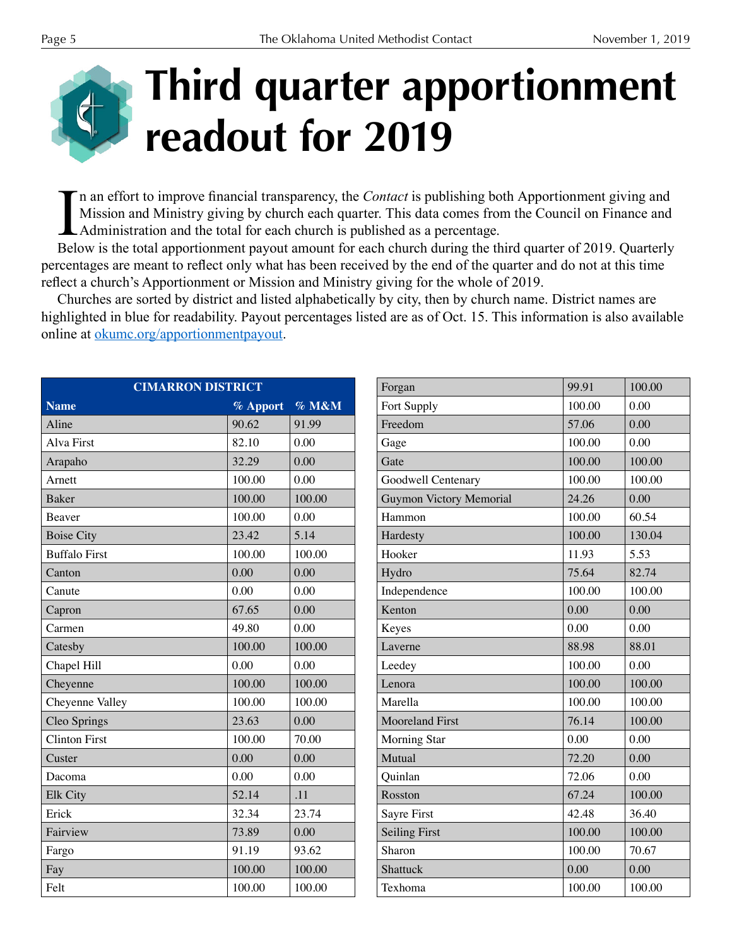## **Third quarter apportionment readout for 2019**

In an effort to improve financial transparency, the *Contact* is publishing both Apportionment giving and Mission and Ministry giving by church each quarter. This data comes from the Council on Finance and Administration and the total for each church is published as a percentage.

Below is the total apportionment payout amount for each church during the third quarter of 2019. Quarterly percentages are meant to refect only what has been received by the end of the quarter and do not at this time refect a church's Apportionment or Mission and Ministry giving for the whole of 2019.

Churches are sorted by district and listed alphabetically by city, then by church name. District names are highlighted in blue for readability. Payout percentages listed are as of Oct. 15. This information is also available online at okumc.org/apportionmentpayout.

| <b>CIMARRON DISTRICT</b> |          |        |
|--------------------------|----------|--------|
| <b>Name</b>              | % Apport | % M&M  |
| Aline                    | 90.62    | 91.99  |
| Alva First               | 82.10    | 0.00   |
| Arapaho                  | 32.29    | 0.00   |
| Arnett                   | 100.00   | 0.00   |
| <b>Baker</b>             | 100.00   | 100.00 |
| Beaver                   | 100.00   | 0.00   |
| <b>Boise City</b>        | 23.42    | 5.14   |
| <b>Buffalo First</b>     | 100.00   | 100.00 |
| Canton                   | 0.00     | 0.00   |
| Canute                   | 0.00     | 0.00   |
| Capron                   | 67.65    | 0.00   |
| Carmen                   | 49.80    | 0.00   |
| Catesby                  | 100.00   | 100.00 |
| Chapel Hill              | 0.00     | 0.00   |
| Cheyenne                 | 100.00   | 100.00 |
| Cheyenne Valley          | 100.00   | 100.00 |
| Cleo Springs             | 23.63    | 0.00   |
| <b>Clinton First</b>     | 100.00   | 70.00  |
| Custer                   | 0.00     | 0.00   |
| Dacoma                   | 0.00     | 0.00   |
| Elk City                 | 52.14    | .11    |
| Erick                    | 32.34    | 23.74  |
| Fairview                 | 73.89    | 0.00   |
| Fargo                    | 91.19    | 93.62  |
| Fay                      | 100.00   | 100.00 |
| Felt                     | 100.00   | 100.00 |

| Forgan                  | 99.91  | 100.00 |
|-------------------------|--------|--------|
| Fort Supply             | 100.00 | 0.00   |
| Freedom                 | 57.06  | 0.00   |
| Gage                    | 100.00 | 0.00   |
| Gate                    | 100.00 | 100.00 |
| Goodwell Centenary      | 100.00 | 100.00 |
| Guymon Victory Memorial | 24.26  | 0.00   |
| Hammon                  | 100.00 | 60.54  |
| Hardesty                | 100.00 | 130.04 |
| Hooker                  | 11.93  | 5.53   |
| Hydro                   | 75.64  | 82.74  |
| Independence            | 100.00 | 100.00 |
| Kenton                  | 0.00   | 0.00   |
| Keyes                   | 0.00   | 0.00   |
| Laverne                 | 88.98  | 88.01  |
| Leedey                  | 100.00 | 0.00   |
| Lenora                  | 100.00 | 100.00 |
| Marella                 | 100.00 | 100.00 |
| <b>Mooreland First</b>  | 76.14  | 100.00 |
| <b>Morning Star</b>     | 0.00   | 0.00   |
| Mutual                  | 72.20  | 0.00   |
| Quinlan                 | 72.06  | 0.00   |
| Rosston                 | 67.24  | 100.00 |
| Sayre First             | 42.48  | 36.40  |
| <b>Seiling First</b>    | 100.00 | 100.00 |
| Sharon                  | 100.00 | 70.67  |
| Shattuck                | 0.00   | 0.00   |
| Texhoma                 | 100.00 | 100.00 |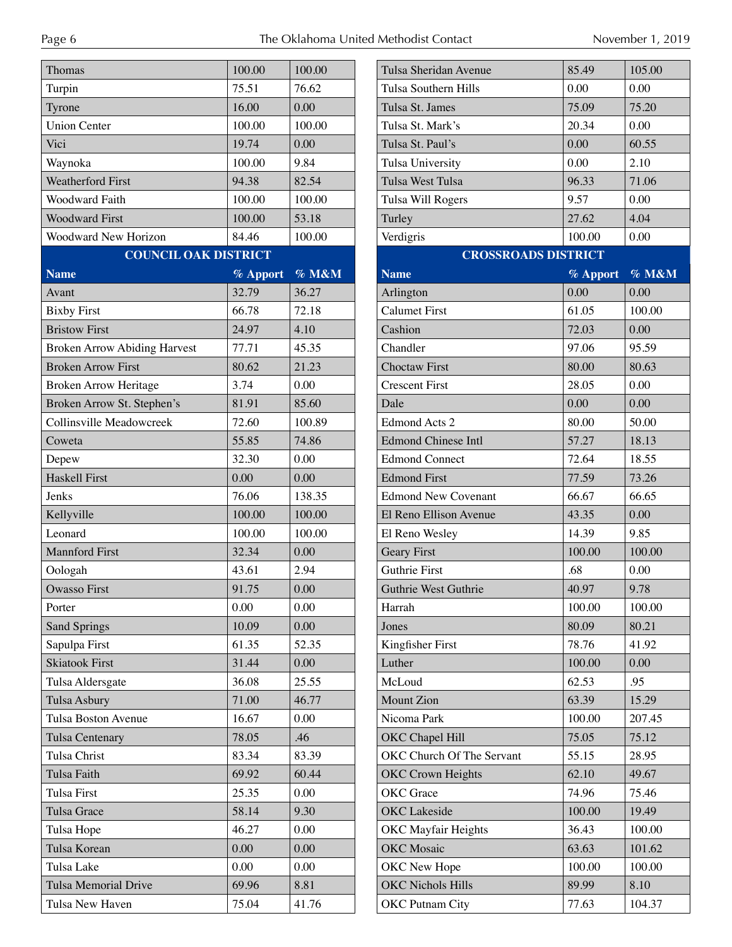| Thomas                              | 100.00   | 100.00   | <b>Tulsa Sher</b>    |
|-------------------------------------|----------|----------|----------------------|
| Turpin                              | 75.51    | 76.62    | <b>Tulsa Sout</b>    |
| Tyrone                              | 16.00    | 0.00     | Tulsa St. J          |
| <b>Union Center</b>                 | 100.00   | 100.00   | Tulsa St. N          |
| Vici                                | 19.74    | 0.00     | Tulsa St. F          |
| Waynoka                             | 100.00   | 9.84     | Tulsa Univ           |
| <b>Weatherford First</b>            | 94.38    | 82.54    | Tulsa Wes            |
| <b>Woodward Faith</b>               | 100.00   | 100.00   | Tulsa Will           |
| <b>Woodward First</b>               | 100.00   | 53.18    | Turley               |
| Woodward New Horizon                | 84.46    | 100.00   | Verdigris            |
| <b>COUNCIL OAK DISTRICT</b>         |          |          |                      |
| <b>Name</b>                         | % Apport | % M&M    | <b>Name</b>          |
| Avant                               | 32.79    | 36.27    | Arlington            |
| <b>Bixby First</b>                  | 66.78    | 72.18    | Calumet F            |
| <b>Bristow First</b>                | 24.97    | 4.10     | Cashion              |
| <b>Broken Arrow Abiding Harvest</b> | 77.71    | 45.35    | Chandler             |
| <b>Broken Arrow First</b>           | 80.62    | 21.23    | Choctaw <sub>F</sub> |
| Broken Arrow Heritage               | 3.74     | 0.00     | Crescent F           |
| Broken Arrow St. Stephen's          | 81.91    | 85.60    | Dale                 |
| Collinsville Meadowcreek            | 72.60    | 100.89   | Edmond A             |
| Coweta                              | 55.85    | 74.86    | Edmond C             |
| Depew                               | 32.30    | 0.00     | Edmond C             |
| Haskell First                       | 0.00     | 0.00     | <b>Edmond F</b>      |
| Jenks                               | 76.06    | 138.35   | Edmond N             |
| Kellyville                          | 100.00   | 100.00   | El Reno E            |
| Leonard                             | 100.00   | 100.00   | El Reno W            |
| <b>Mannford First</b>               | 32.34    | 0.00     | Geary Firs           |
| Oologah                             | 43.61    | 2.94     | Guthrie Fi           |
| <b>Owasso First</b>                 | 91.75    | 0.00     | Guthrie W            |
| Porter                              | 0.00     | 0.00     | Harrah               |
| <b>Sand Springs</b>                 | 10.09    | 0.00     | Jones                |
| Sapulpa First                       | 61.35    | 52.35    | Kingfisher           |
| <b>Skiatook First</b>               | 31.44    | $0.00\,$ | Luther               |
| Tulsa Aldersgate                    | 36.08    | 25.55    | McLoud               |
| Tulsa Asbury                        | 71.00    | 46.77    | Mount Zic            |
| Tulsa Boston Avenue                 | 16.67    | 0.00     | Nicoma Pa            |
| Tulsa Centenary                     | 78.05    | .46      | OKC Chap             |
| Tulsa Christ                        | 83.34    | 83.39    | OKC Chu              |
| Tulsa Faith                         | 69.92    | 60.44    | <b>OKC</b> Crov      |
| Tulsa First                         | 25.35    | 0.00     | OKC Grac             |
| Tulsa Grace                         | 58.14    | 9.30     | <b>OKC</b> Lake      |
| Tulsa Hope                          | 46.27    | 0.00     | OKC May              |
| Tulsa Korean                        | 0.00     | 0.00     | OKC Mos              |
| Tulsa Lake                          | 0.00     | 0.00     | OKC New              |
| Tulsa Memorial Drive                | 69.96    | 8.81     | OKC Nich             |
| Tulsa New Haven                     | 75.04    | 41.76    | <b>OKC</b> Putn      |
|                                     |          |          |                      |

| 85.49                      | 105.00 |
|----------------------------|--------|
| 0.00                       | 0.00   |
| 75.09                      | 75.20  |
| 20.34                      | 0.00   |
| 0.00                       | 60.55  |
| 0.00                       | 2.10   |
| 96.33                      | 71.06  |
| 9.57                       | 0.00   |
| 27.62                      | 4.04   |
| 100.00                     | 0.00   |
| <b>CROSSROADS DISTRICT</b> |        |
| % Apport                   | % M&M  |
| 0.00                       | 0.00   |
| 61.05                      | 100.00 |
| 72.03                      | 0.00   |
| 97.06                      | 95.59  |
| 80.00                      | 80.63  |
| 28.05                      | 0.00   |
| 0.00                       | 0.00   |
| 80.00                      | 50.00  |
| 57.27                      | 18.13  |
| 72.64                      | 18.55  |
| 77.59                      | 73.26  |
| 66.67                      | 66.65  |
| 43.35                      | 0.00   |
| 14.39                      | 9.85   |
| 100.00                     | 100.00 |
| .68                        | 0.00   |
| 40.97                      | 9.78   |
| 100.00                     | 100.00 |
| 80.09                      | 80.21  |
| 78.76                      | 41.92  |
| 100.00                     | 0.00   |
| 62.53                      | .95    |
| 63.39                      | 15.29  |
| 100.00                     | 207.45 |
| 75.05                      | 75.12  |
| 55.15                      | 28.95  |
| 62.10                      | 49.67  |
| 74.96                      | 75.46  |
| 100.00                     | 19.49  |
| 36.43                      | 100.00 |
| 63.63                      | 101.62 |
| 100.00                     | 100.00 |
| 89.99                      | 8.10   |
| 77.63                      | 104.37 |
|                            |        |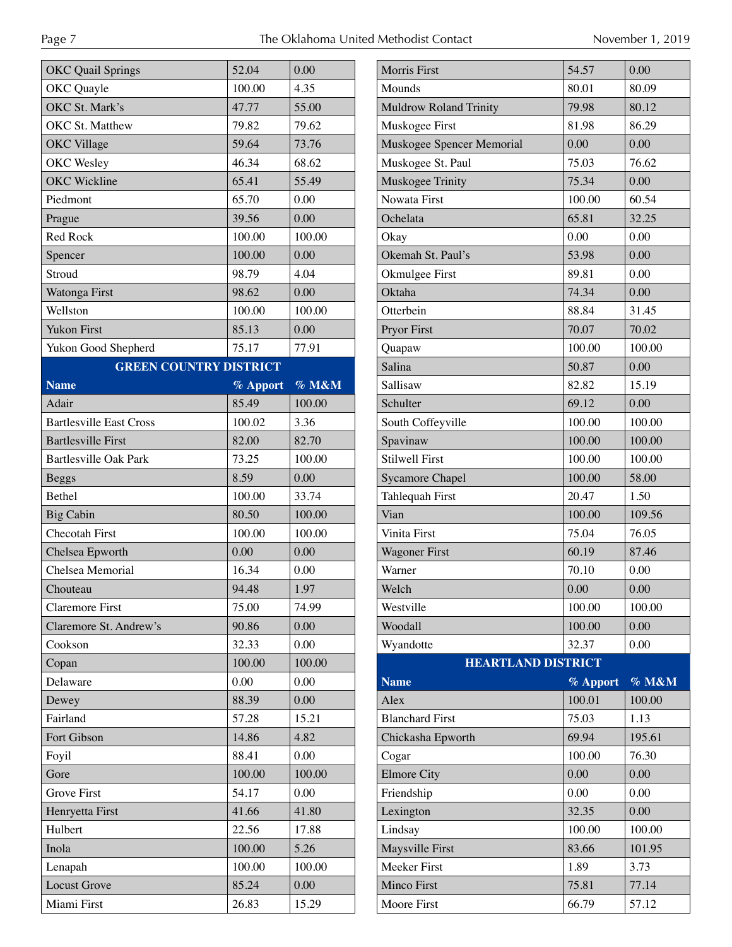| <b>OKC</b> Quail Springs       |          |        |
|--------------------------------|----------|--------|
|                                | 52.04    | 0.00   |
| OKC Quayle                     | 100.00   | 4.35   |
| OKC St. Mark's                 | 47.77    | 55.00  |
| OKC St. Matthew                | 79.82    | 79.62  |
| OKC Village                    | 59.64    | 73.76  |
| OKC Wesley                     | 46.34    | 68.62  |
| <b>OKC</b> Wickline            | 65.41    | 55.49  |
| Piedmont                       | 65.70    | 0.00   |
| Prague                         | 39.56    | 0.00   |
| Red Rock                       | 100.00   | 100.00 |
| Spencer                        | 100.00   | 0.00   |
| Stroud                         | 98.79    | 4.04   |
| Watonga First                  | 98.62    | 0.00   |
| Wellston                       | 100.00   | 100.00 |
| <b>Yukon First</b>             | 85.13    | 0.00   |
| Yukon Good Shepherd            | 75.17    | 77.91  |
| <b>GREEN COUNTRY DISTRICT</b>  |          |        |
| <b>Name</b>                    | % Apport | % M&M  |
| Adair                          | 85.49    | 100.00 |
| <b>Bartlesville East Cross</b> | 100.02   | 3.36   |
| <b>Bartlesville First</b>      | 82.00    | 82.70  |
| <b>Bartlesville Oak Park</b>   | 73.25    | 100.00 |
| <b>Beggs</b>                   | 8.59     | 0.00   |
| <b>Bethel</b>                  | 100.00   | 33.74  |
| <b>Big Cabin</b>               | 80.50    | 100.00 |
|                                |          |        |
| <b>Checotah First</b>          | 100.00   | 100.00 |
| Chelsea Epworth                | 0.00     | 0.00   |
| Chelsea Memorial               | 16.34    | 0.00   |
| Chouteau                       | 94.48    | 1.97   |
| <b>Claremore First</b>         | 75.00    | 74.99  |
| Claremore St. Andrew's         | 90.86    | 0.00   |
| Cookson                        | 32.33    | 0.00   |
| Copan                          | 100.00   | 100.00 |
| Delaware                       | 0.00     | 0.00   |
| Dewey                          | 88.39    | 0.00   |
| Fairland                       | 57.28    | 15.21  |
| Fort Gibson                    | 14.86    | 4.82   |
| Foyil                          | 88.41    | 0.00   |
| Gore                           | 100.00   | 100.00 |
| <b>Grove First</b>             | 54.17    | 0.00   |
| Henryetta First                | 41.66    | 41.80  |
| Hulbert                        | 22.56    | 17.88  |
| Inola                          | 100.00   | 5.26   |
| Lenapah                        | 100.00   | 100.00 |
| <b>Locust Grove</b>            | 85.24    | 0.00   |

| <b>Morris First</b>           | 54.57    | 0.00     |
|-------------------------------|----------|----------|
| Mounds                        | 80.01    | 80.09    |
| <b>Muldrow Roland Trinity</b> | 79.98    | 80.12    |
| Muskogee First                | 81.98    | 86.29    |
| Muskogee Spencer Memorial     | 0.00     | 0.00     |
| Muskogee St. Paul             | 75.03    | 76.62    |
| Muskogee Trinity              | 75.34    | 0.00     |
| Nowata First                  | 100.00   | 60.54    |
| Ochelata                      | 65.81    | 32.25    |
| Okay                          | 0.00     | 0.00     |
| Okemah St. Paul's             | 53.98    | 0.00     |
| Okmulgee First                | 89.81    | 0.00     |
| Oktaha                        | 74.34    | 0.00     |
| Otterbein                     | 88.84    | 31.45    |
| Pryor First                   | 70.07    | 70.02    |
| Quapaw                        | 100.00   | 100.00   |
| Salina                        | 50.87    | 0.00     |
| Sallisaw                      | 82.82    | 15.19    |
| Schulter                      | 69.12    | 0.00     |
| South Coffeyville             | 100.00   | 100.00   |
| Spavinaw                      | 100.00   | 100.00   |
| <b>Stilwell First</b>         | 100.00   | 100.00   |
| <b>Sycamore Chapel</b>        | 100.00   | 58.00    |
| Tahlequah First               | 20.47    | 1.50     |
| Vian                          | 100.00   | 109.56   |
| Vinita First                  | 75.04    | 76.05    |
| <b>Wagoner First</b>          | 60.19    | 87.46    |
| Warner                        | 70.10    | 0.00     |
| Welch                         | 0.00     | $0.00\,$ |
| Westville                     | 100.00   | 100.00   |
| Woodall                       | 100.00   | 0.00     |
| Wyandotte                     | 32.37    | 0.00     |
| <b>HEARTLAND DISTRICT</b>     |          |          |
| <b>Name</b>                   | % Apport | % M&M    |
| Alex                          | 100.01   | 100.00   |
| <b>Blanchard First</b>        | 75.03    | 1.13     |
| Chickasha Epworth             | 69.94    | 195.61   |
| Cogar                         | 100.00   | 76.30    |
| <b>Elmore City</b>            | 0.00     | 0.00     |
| Friendship                    | 0.00     | 0.00     |
| Lexington                     | 32.35    | 0.00     |
| Lindsay                       | 100.00   | 100.00   |
| Maysville First               | 83.66    | 101.95   |
| Meeker First                  | 1.89     | 3.73     |
| Minco First                   | 75.81    | 77.14    |

Moore First 66.79 57.12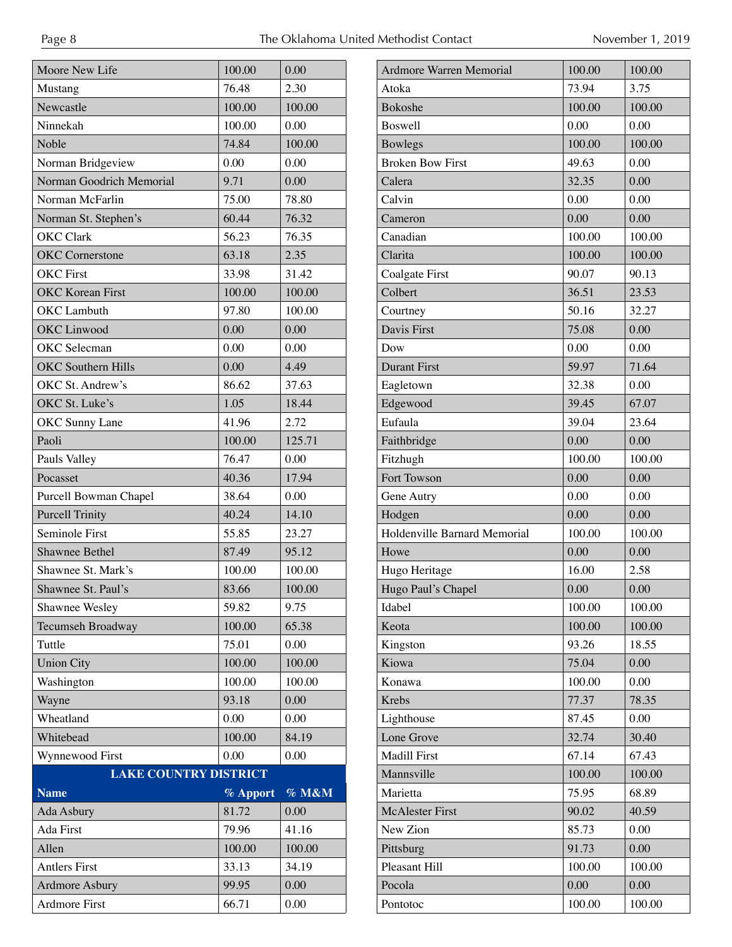| Moore New Life               | 100.00   | 0.00   |
|------------------------------|----------|--------|
| Mustang                      | 76.48    | 2.30   |
| Newcastle                    | 100.00   | 100.00 |
| Ninnekah                     | 100.00   | 0.00   |
| Noble                        | 74.84    | 100.00 |
| Norman Bridgeview            | 0.00     | 0.00   |
| Norman Goodrich Memorial     | 9.71     | 0.00   |
| Norman McFarlin              | 75.00    | 78.80  |
| Norman St. Stephen's         | 60.44    | 76.32  |
| <b>OKC</b> Clark             | 56.23    | 76.35  |
| <b>OKC</b> Cornerstone       | 63.18    | 2.35   |
| <b>OKC</b> First             | 33.98    | 31.42  |
| <b>OKC</b> Korean First      | 100.00   | 100.00 |
| <b>OKC</b> Lambuth           | 97.80    | 100.00 |
| OKC Linwood                  | 0.00     | 0.00   |
| <b>OKC</b> Selecman          | 0.00     | 0.00   |
| <b>OKC</b> Southern Hills    | 0.00     | 4.49   |
| OKC St. Andrew's             | 86.62    | 37.63  |
| OKC St. Luke's               | 1.05     | 18.44  |
| <b>OKC</b> Sunny Lane        | 41.96    | 2.72   |
| Paoli                        | 100.00   | 125.71 |
| Pauls Valley                 | 76.47    | 0.00   |
| Pocasset                     | 40.36    | 17.94  |
| Purcell Bowman Chapel        | 38.64    | 0.00   |
| <b>Purcell Trinity</b>       | 40.24    | 14.10  |
| Seminole First               | 55.85    | 23.27  |
| Shawnee Bethel               | 87.49    | 95.12  |
| Shawnee St. Mark's           | 100.00   | 100.00 |
|                              |          |        |
| Shawnee St. Paul's           | 83.66    | 100.00 |
| Shawnee Wesley               | 59.82    | 9.75   |
| Tecumseh Broadway            | 100.00   | 65.38  |
| Tuttle                       | 75.01    | 0.00   |
| <b>Union City</b>            | 100.00   | 100.00 |
| Washington                   | 100.00   | 100.00 |
| Wayne                        | 93.18    | 0.00   |
| Wheatland                    | 0.00     | 0.00   |
| Whitebead                    | 100.00   | 84.19  |
| Wynnewood First              | 0.00     | 0.00   |
| <b>LAKE COUNTRY DISTRICT</b> |          |        |
| <b>Name</b>                  | % Apport | % M&M  |
| Ada Asbury                   | 81.72    | 0.00   |
| Ada First                    | 79.96    | 41.16  |
| Allen                        | 100.00   | 100.00 |
| <b>Antlers First</b>         | 33.13    | 34.19  |
| <b>Ardmore Asbury</b>        | 99.95    | 0.00   |

| <b>Ardmore Warren Memorial</b> | 100.00 | 100.00 |
|--------------------------------|--------|--------|
| Atoka                          | 73.94  | 3.75   |
| Bokoshe                        | 100.00 | 100.00 |
| <b>Boswell</b>                 | 0.00   | 0.00   |
| <b>Bowlegs</b>                 | 100.00 | 100.00 |
| <b>Broken Bow First</b>        | 49.63  | 0.00   |
| Calera                         | 32.35  | 0.00   |
| Calvin                         | 0.00   | 0.00   |
| Cameron                        | 0.00   | 0.00   |
| Canadian                       | 100.00 | 100.00 |
| Clarita                        | 100.00 | 100.00 |
| Coalgate First                 | 90.07  | 90.13  |
| Colbert                        | 36.51  | 23.53  |
| Courtney                       | 50.16  | 32.27  |
| Davis First                    | 75.08  | 0.00   |
| Dow                            | 0.00   | 0.00   |
| <b>Durant First</b>            | 59.97  | 71.64  |
| Eagletown                      | 32.38  | 0.00   |
| Edgewood                       | 39.45  | 67.07  |
| Eufaula                        | 39.04  | 23.64  |
| Faithbridge                    | 0.00   | 0.00   |
| Fitzhugh                       | 100.00 | 100.00 |
| Fort Towson                    | 0.00   | 0.00   |
| Gene Autry                     | 0.00   | 0.00   |
| Hodgen                         | 0.00   | 0.00   |
| Holdenville Barnard Memorial   | 100.00 | 100.00 |
| Howe                           | 0.00   | 0.00   |
| Hugo Heritage                  | 16.00  | 2.58   |
| Hugo Paul's Chapel             | 0.00   | 0.00   |
| Idabel                         | 100.00 | 100.00 |
| Keota                          | 100.00 | 100.00 |
| Kingston                       | 93.26  | 18.55  |
| Kiowa                          | 75.04  | 0.00   |
| Konawa                         | 100.00 | 0.00   |
| Krebs                          | 77.37  | 78.35  |
| Lighthouse                     | 87.45  | 0.00   |
| Lone Grove                     | 32.74  | 30.40  |
| Madill First                   | 67.14  | 67.43  |
| Mannsville                     | 100.00 | 100.00 |
| Marietta                       | 75.95  | 68.89  |
| <b>McAlester First</b>         | 90.02  | 40.59  |
| New Zion                       | 85.73  | 0.00   |
| Pittsburg                      | 91.73  | 0.00   |
| Pleasant Hill                  | 100.00 | 100.00 |
| Pocola                         | 0.00   | 0.00   |
|                                |        |        |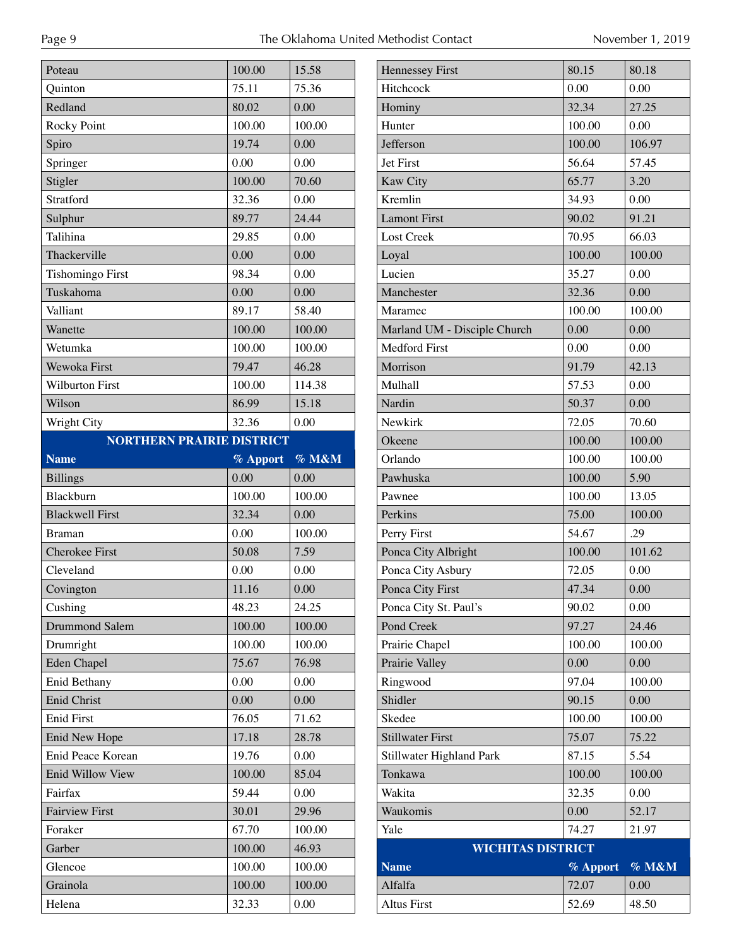| Poteau                           | 100.00   | 15.58  | $\mathbf{F}$                                                                                                                                                                         |
|----------------------------------|----------|--------|--------------------------------------------------------------------------------------------------------------------------------------------------------------------------------------|
| Quinton                          | 75.11    | 75.36  | $\mathbf{F}$                                                                                                                                                                         |
| Redland                          | 80.02    | 0.00   | $\mathbf{F}$                                                                                                                                                                         |
| <b>Rocky Point</b>               | 100.00   | 100.00 | $\mathbf{F}$                                                                                                                                                                         |
| Spiro                            | 19.74    | 0.00   | ${\bf J}$                                                                                                                                                                            |
| Springer                         | 0.00     | 0.00   | J <sub>0</sub>                                                                                                                                                                       |
| Stigler                          | 100.00   | 70.60  | $\overline{\mathbf{k}}$                                                                                                                                                              |
| Stratford                        | 32.36    | 0.00   | K                                                                                                                                                                                    |
| Sulphur                          | 89.77    | 24.44  | $\mathbf{I}$                                                                                                                                                                         |
| Talihina                         | 29.85    | 0.00   | $\mathbf{I}$                                                                                                                                                                         |
| Thackerville                     | 0.00     | 0.00   | $\mathbf{I}$                                                                                                                                                                         |
| <b>Tishomingo First</b>          | 98.34    | 0.00   | $\mathbf I$                                                                                                                                                                          |
| Tuskahoma                        | 0.00     | 0.00   | N                                                                                                                                                                                    |
| Valliant                         | 89.17    | 58.40  | N                                                                                                                                                                                    |
| Wanette                          | 100.00   | 100.00 | $\mathbf{N}$                                                                                                                                                                         |
| Wetumka                          | 100.00   | 100.00 | $\mathbf{N}$                                                                                                                                                                         |
| Wewoka First                     | 79.47    | 46.28  | $\mathbf{N}$                                                                                                                                                                         |
| <b>Wilburton First</b>           | 100.00   | 114.38 | N                                                                                                                                                                                    |
| Wilson                           | 86.99    | 15.18  | $\mathbf{N}$                                                                                                                                                                         |
| Wright City                      | 32.36    | 0.00   | N                                                                                                                                                                                    |
| <b>NORTHERN PRAIRIE DISTRICT</b> |          |        | $\mathsf{C}$                                                                                                                                                                         |
| <b>Name</b>                      | % Apport | % M&M  | $\mathsf{C}$                                                                                                                                                                         |
| <b>Billings</b>                  | 0.00     | 0.00   | $\mathbf{P}$                                                                                                                                                                         |
|                                  |          |        |                                                                                                                                                                                      |
| Blackburn                        | 100.00   | 100.00 |                                                                                                                                                                                      |
| <b>Blackwell First</b>           | 32.34    | 0.00   |                                                                                                                                                                                      |
| <b>Braman</b>                    | 0.00     | 100.00 |                                                                                                                                                                                      |
| Cherokee First                   | 50.08    | 7.59   |                                                                                                                                                                                      |
| Cleveland                        | 0.00     | 0.00   |                                                                                                                                                                                      |
| Covington                        | 11.16    | 0.00   |                                                                                                                                                                                      |
| Cushing                          | 48.23    | 24.25  |                                                                                                                                                                                      |
| Drummond Salem                   | 100.00   | 100.00 |                                                                                                                                                                                      |
| Drumright                        | 100.00   | 100.00 |                                                                                                                                                                                      |
| <b>Eden Chapel</b>               | 75.67    | 76.98  |                                                                                                                                                                                      |
| Enid Bethany                     | 0.00     | 0.00   |                                                                                                                                                                                      |
| <b>Enid Christ</b>               | 0.00     | 0.00   |                                                                                                                                                                                      |
| <b>Enid First</b>                | 76.05    | 71.62  |                                                                                                                                                                                      |
| Enid New Hope                    | 17.18    | 28.78  |                                                                                                                                                                                      |
| Enid Peace Korean                | 19.76    | 0.00   |                                                                                                                                                                                      |
| Enid Willow View                 | 100.00   | 85.04  |                                                                                                                                                                                      |
| Fairfax                          | 59.44    | 0.00   |                                                                                                                                                                                      |
| <b>Fairview First</b>            | 30.01    | 29.96  |                                                                                                                                                                                      |
| Foraker                          | 67.70    | 100.00 |                                                                                                                                                                                      |
| Garber                           | 100.00   | 46.93  |                                                                                                                                                                                      |
| Glencoe                          | 100.00   | 100.00 |                                                                                                                                                                                      |
| Grainola                         | 100.00   | 100.00 | $\overline{P}$<br>$\mathbf{P}$<br>$\mathbf{P}$<br>$\mathbf{P}$<br>$\mathbf{P}$<br>$\mathbf{P}$<br>P<br>$\mathbf{P}$<br>P<br>P<br>R<br>S<br>S<br>S<br>S<br>T<br>V<br>V<br>ſ<br>Þ<br>A |

| <b>Hennessey First</b>       | 80.15    | 80.18  |
|------------------------------|----------|--------|
| Hitchcock                    | 0.00     | 0.00   |
| Hominy                       | 32.34    | 27.25  |
| Hunter                       | 100.00   | 0.00   |
| Jefferson                    | 100.00   | 106.97 |
| Jet First                    | 56.64    | 57.45  |
| Kaw City                     | 65.77    | 3.20   |
| Kremlin                      | 34.93    | 0.00   |
| <b>Lamont First</b>          | 90.02    | 91.21  |
| Lost Creek                   | 70.95    | 66.03  |
| Loyal                        | 100.00   | 100.00 |
| Lucien                       | 35.27    | 0.00   |
| Manchester                   | 32.36    | 0.00   |
| Maramec                      | 100.00   | 100.00 |
| Marland UM - Disciple Church | 0.00     | 0.00   |
| <b>Medford First</b>         | 0.00     | 0.00   |
| Morrison                     | 91.79    | 42.13  |
| Mulhall                      | 57.53    | 0.00   |
| Nardin                       | 50.37    | 0.00   |
| Newkirk                      | 72.05    | 70.60  |
| Okeene                       | 100.00   | 100.00 |
| Orlando                      | 100.00   | 100.00 |
| Pawhuska                     | 100.00   | 5.90   |
| Pawnee                       | 100.00   | 13.05  |
| Perkins                      | 75.00    | 100.00 |
| Perry First                  | 54.67    | .29    |
| Ponca City Albright          | 100.00   | 101.62 |
| Ponca City Asbury            | 72.05    | 0.00   |
| Ponca City First             | 47.34    | 0.00   |
| Ponca City St. Paul's        | 90.02    | 0.00   |
| Pond Creek                   | 97.27    | 24.46  |
| Prairie Chapel               | 100.00   | 100.00 |
| Prairie Valley               | 0.00     | 0.00   |
| Ringwood                     | 97.04    | 100.00 |
| Shidler                      | 90.15    | 0.00   |
| Skedee                       | 100.00   | 100.00 |
| <b>Stillwater First</b>      | 75.07    | 75.22  |
| Stillwater Highland Park     | 87.15    | 5.54   |
| Tonkawa                      | 100.00   | 100.00 |
| Wakita                       | 32.35    | 0.00   |
| Waukomis                     | 0.00     | 52.17  |
| Yale                         | 74.27    | 21.97  |
| <b>WICHITAS DISTRICT</b>     |          |        |
| <b>Name</b>                  | % Apport | % M&M  |
| Alfalfa                      | 72.07    | 0.00   |
| Altus First                  | 52.69    | 48.50  |
|                              |          |        |